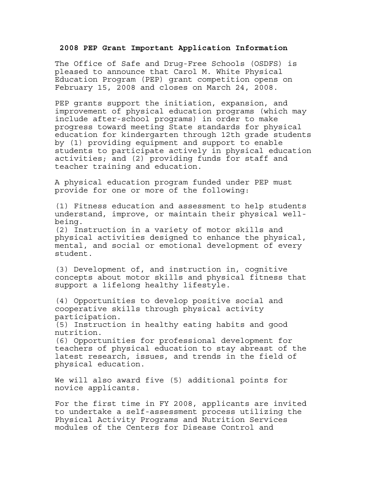## **2008 PEP Grant Important Application Information**

The Office of Safe and Drug-Free Schools (OSDFS) is pleased to announce that Carol M. White Physical Education Program (PEP) grant competition opens on February 15, 2008 and closes on March 24, 2008.

PEP grants support the initiation, expansion, and improvement of physical education programs (which may include after-school programs) in order to make progress toward meeting State standards for physical education for kindergarten through 12th grade students by (1) providing equipment and support to enable students to participate actively in physical education activities; and (2) providing funds for staff and teacher training and education.

A physical education program funded under PEP must provide for one or more of the following:

(1) Fitness education and assessment to help students understand, improve, or maintain their physical wellbeing.

(2) Instruction in a variety of motor skills and physical activities designed to enhance the physical, mental, and social or emotional development of every student.

(3) Development of, and instruction in, cognitive concepts about motor skills and physical fitness that support a lifelong healthy lifestyle.

(4) Opportunities to develop positive social and cooperative skills through physical activity participation.

(5) Instruction in healthy eating habits and good nutrition.

(6) Opportunities for professional development for teachers of physical education to stay abreast of the latest research, issues, and trends in the field of physical education.

We will also award five (5) additional points for novice applicants.

For the first time in FY 2008, applicants are invited to undertake a self-assessment process utilizing the Physical Activity Programs and Nutrition Services modules of the Centers for Disease Control and